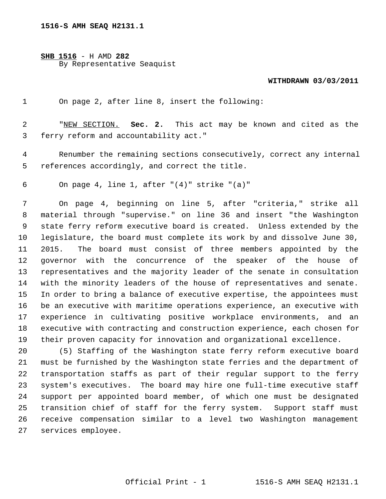**SHB 1516** - H AMD **282** By Representative Seaquist

## **WITHDRAWN 03/03/2011**

1 On page 2, after line 8, insert the following:

 2 "NEW SECTION. **Sec. 2.** This act may be known and cited as the 3 ferry reform and accountability act."

 4 Renumber the remaining sections consecutively, correct any internal 5 references accordingly, and correct the title.

6 On page 4, line 1, after "(4)" strike "(a)"

 7 On page 4, beginning on line 5, after "criteria," strike all 8 material through "supervise." on line 36 and insert "the Washington 9 state ferry reform executive board is created. Unless extended by the 10 legislature, the board must complete its work by and dissolve June 30, 11 2015. The board must consist of three members appointed by the 12 governor with the concurrence of the speaker of the house of 13 representatives and the majority leader of the senate in consultation 14 with the minority leaders of the house of representatives and senate. 15 In order to bring a balance of executive expertise, the appointees must 16 be an executive with maritime operations experience, an executive with 17 experience in cultivating positive workplace environments, and an 18 executive with contracting and construction experience, each chosen for 19 their proven capacity for innovation and organizational excellence.

20 (5) Staffing of the Washington state ferry reform executive board 21 must be furnished by the Washington state ferries and the department of 22 transportation staffs as part of their regular support to the ferry 23 system's executives. The board may hire one full-time executive staff 24 support per appointed board member, of which one must be designated 25 transition chief of staff for the ferry system. Support staff must 26 receive compensation similar to a level two Washington management 27 services employee.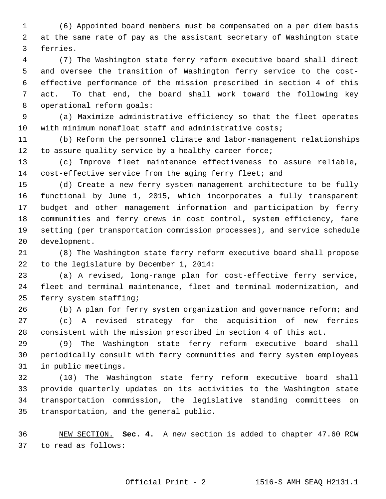1 (6) Appointed board members must be compensated on a per diem basis 2 at the same rate of pay as the assistant secretary of Washington state 3 ferries.

 4 (7) The Washington state ferry reform executive board shall direct 5 and oversee the transition of Washington ferry service to the cost- 6 effective performance of the mission prescribed in section 4 of this 7 act. To that end, the board shall work toward the following key 8 operational reform goals:

 9 (a) Maximize administrative efficiency so that the fleet operates 10 with minimum nonafloat staff and administrative costs;

11 (b) Reform the personnel climate and labor-management relationships 12 to assure quality service by a healthy career force;

13 (c) Improve fleet maintenance effectiveness to assure reliable, 14 cost-effective service from the aging ferry fleet; and

15 (d) Create a new ferry system management architecture to be fully 16 functional by June 1, 2015, which incorporates a fully transparent 17 budget and other management information and participation by ferry 18 communities and ferry crews in cost control, system efficiency, fare 19 setting (per transportation commission processes), and service schedule 20 development.

21 (8) The Washington state ferry reform executive board shall propose 22 to the legislature by December 1, 2014:

23 (a) A revised, long-range plan for cost-effective ferry service, 24 fleet and terminal maintenance, fleet and terminal modernization, and 25 ferry system staffing;

26 (b) A plan for ferry system organization and governance reform; and 27 (c) A revised strategy for the acquisition of new ferries 28 consistent with the mission prescribed in section 4 of this act.

29 (9) The Washington state ferry reform executive board shall 30 periodically consult with ferry communities and ferry system employees 31 in public meetings.

32 (10) The Washington state ferry reform executive board shall 33 provide quarterly updates on its activities to the Washington state 34 transportation commission, the legislative standing committees on 35 transportation, and the general public.

36 NEW SECTION. **Sec. 4.** A new section is added to chapter 47.60 RCW 37 to read as follows: